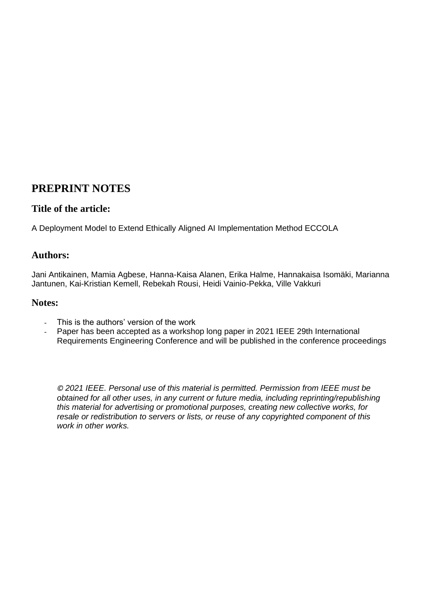## **PREPRINT NOTES**

## **Title of the article:**

A Deployment Model to Extend Ethically Aligned AI Implementation Method ECCOLA

## **Authors:**

Jani Antikainen, Mamia Agbese, Hanna-Kaisa Alanen, Erika Halme, Hannakaisa Isomäki, Marianna Jantunen, Kai-Kristian Kemell, Rebekah Rousi, Heidi Vainio-Pekka, Ville Vakkuri

### **Notes:**

- This is the authors' version of the work
- Paper has been accepted as a workshop long paper in 2021 IEEE 29th International Requirements Engineering Conference and will be published in the conference proceedings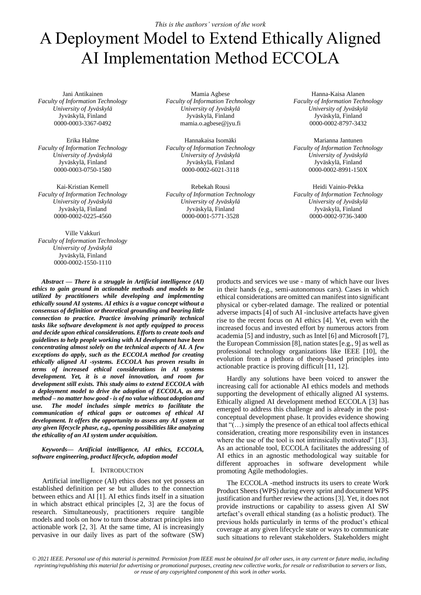# A Deployment Model to Extend Ethically Aligned AI Implementation Method ECCOLA

Jani Antikainen *Faculty of Information Technology University of Jyväskylä* Jyväskylä, Finland 0000-0003-3367-0492

Erika Halme *Faculty of Information Technology University of Jyväskylä* Jyväskylä, Finland 0000-0003-0750-1580

Kai-Kristian Kemell *Faculty of Information Technology University of Jyväskylä* Jyväskylä, Finland 0000-0002-0225-4560

Ville Vakkuri *Faculty of Information Technology University of Jyväskylä* Jyväskylä, Finland 0000-0002-1550-1110

Mamia Agbese *Faculty of Information Technology University of Jyväskylä* Jyväskylä, Finland mamia.o.agbese@jyu.fi

Hannakaisa Isomäki *Faculty of Information Technology University of Jyväskylä* Jyväskylä, Finland 0000-0002-6021-3118

Rebekah Rousi *Faculty of Information Technology University of Jyväskylä* Jyväskylä, Finland 0000-0001-5771-3528

Hanna-Kaisa Alanen *Faculty of Information Technology University of Jyväskylä* Jyväskylä, Finland 0000-0002-8797-3432

Marianna Jantunen *Faculty of Information Technology University of Jyväskylä* Jyväskylä, Finland 0000-0002-8991-150X

Heidi Vainio-Pekka *Faculty of Information Technology University of Jyväskylä* Jyväskylä, Finland 0000-0002-9736-3400

*Abstract* **—** *There is a struggle in Artificial intelligence (AI) ethics to gain ground in actionable methods and models to be utilized by practitioners while developing and implementing ethically sound AI systems. AI ethics is a vague concept without a consensus of definition or theoretical grounding and bearing little connection to practice. Practice involving primarily technical tasks like software development is not aptly equipped to process and decide upon ethical considerations. Efforts to create tools and guidelines to help people working with AI development have been concentrating almost solely on the technical aspects of AI. A few exceptions do apply, such as the ECCOLA method for creating ethically aligned AI -systems. ECCOLA has proven results in terms of increased ethical considerations in AI systems development. Yet, it is a novel innovation, and room for development still exists. This study aims to extend ECCOLA with a deployment model to drive the adoption of ECCOLA, as any method – no matter how good - is of no value without adoption and use. The model includes simple metrics to facilitate the communication of ethical gaps or outcomes of ethical AI development. It offers the opportunity to assess any AI system at any given lifecycle phase, e.g., opening possibilities like analyzing the ethicality of an AI system under acquisition.*

*Keywords— Artificial intelligence, AI ethics, ECCOLA, software engineering, product lifecycle, adoption model*

#### I. INTRODUCTION

Artificial intelligence (AI) ethics does not yet possess an established definition per se but alludes to the connection between ethics and AI [1]. AI ethics finds itself in a situation in which abstract ethical principles [2, 3] are the focus of research. Simultaneously, practitioners require tangible models and tools on how to turn those abstract principles into actionable work [2, 3]. At the same time, AI is increasingly pervasive in our daily lives as part of the software (SW)

products and services we use - many of which have our lives in their hands (e.g., semi-autonomous cars). Cases in which ethical considerations are omitted can manifest into significant physical or cyber-related damage. The realized or potential adverse impacts [4] of such AI -inclusive artefacts have given rise to the recent focus on AI ethics [4]. Yet, even with the increased focus and invested effort by numerous actors from academia [5] and industry, such as Intel [6] and Microsoft [7], the European Commission [8], nation states [e.g., 9] as well as professional technology organizations like IEEE [10], the evolution from a plethora of theory-based principles into actionable practice is proving difficult [11, 12].

Hardly any solutions have been voiced to answer the increasing call for actionable AI ethics models and methods supporting the development of ethically aligned AI systems. Ethically aligned AI development method ECCOLA [3] has emerged to address this challenge and is already in the postconceptual development phase. It provides evidence showing that "(…) simply the presence of an ethical tool affects ethical consideration, creating more responsibility even in instances where the use of the tool is not intrinsically motivated" [13]. As an actionable tool, ECCOLA facilitates the addressing of AI ethics in an agnostic methodological way suitable for different approaches in software development while promoting Agile methodologies.

The ECCOLA -method instructs its users to create Work Product Sheets (WPS) during every sprint and document WPS justification and further review the actions [3]. Yet, it does not provide instructions or capability to assess given AI SW artefact's overall ethical standing (as a holistic product). The previous holds particularly in terms of the product's ethical coverage at any given lifecycle state or ways to communicate such situations to relevant stakeholders. Stakeholders might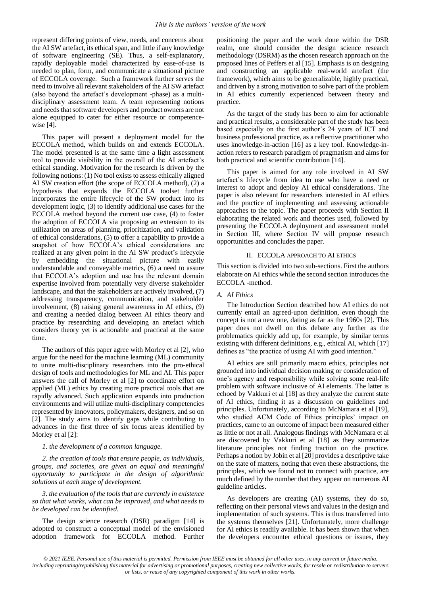represent differing points of view, needs, and concerns about the AI SW artefact, its ethical span, and little if any knowledge of software engineering (SE). Thus, a self-explanatory, rapidly deployable model characterized by ease-of-use is needed to plan, form, and communicate a situational picture of ECCOLA coverage. Such a framework further serves the need to involve all relevant stakeholders of the AI SW artefact (also beyond the artefact's development -phase) as a multidisciplinary assessment team. A team representing notions and needs that software developers and product owners are not alone equipped to cater for either resource or competencewise [4].

This paper will present a deployment model for the ECCOLA method, which builds on and extends ECCOLA. The model presented is at the same time a light assessment tool to provide visibility in the overall of the AI artefact's ethical standing. Motivation for the research is driven by the following notions: (1) No tool exists to assess ethically aligned AI SW creation effort (the scope of ECCOLA method), (2) a hypothesis that expands the ECCOLA toolset further incorporates the entire lifecycle of the SW product into its development logic, (3) to identify additional use cases for the ECCOLA method beyond the current use case, (4) to foster the adoption of ECCOLA via proposing an extension to its utilization on areas of planning, prioritization, and validation of ethical considerations, (5) to offer a capability to provide a snapshot of how ECCOLA's ethical considerations are realized at any given point in the AI SW product's lifecycle by embedding the situational picture with easily understandable and conveyable metrics, (6) a need to assure that ECCOLA's adoption and use has the relevant domain expertise involved from potentially very diverse stakeholder landscape, and that the stakeholders are actively involved, (7) addressing transparency, communication, and stakeholder involvement, (8) raising general awareness in AI ethics, (9) and creating a needed dialog between AI ethics theory and practice by researching and developing an artefact which considers theory yet is actionable and practical at the same time.

The authors of this paper agree with Morley et al [2], who argue for the need for the machine learning (ML) community to unite multi-disciplinary researchers into the pro-ethical design of tools and methodologies for ML and AI. This paper answers the call of Morley et al [2] to coordinate effort on applied (ML) ethics by creating more practical tools that are rapidly advanced. Such application expands into production environments and will utilize multi-disciplinary competencies represented by innovators, policymakers, designers, and so on [2]. The study aims to identify gaps while contributing to advances in the first three of six focus areas identified by Morley et al [2]:

#### *1. the development of a common language.*

*2. the creation of tools that ensure people, as individuals, groups, and societies, are given an equal and meaningful opportunity to participate in the design of algorithmic solutions at each stage of development.* 

*3. the evaluation of the tools that are currently in existence so that what works, what can be improved, and what needs to be developed can be identified.* 

The design science research (DSR) paradigm [14] is adopted to construct a conceptual model of the envisioned adoption framework for ECCOLA method. Further

positioning the paper and the work done within the DSR realm, one should consider the design science research methodology (DSRM) as the chosen research approach on the proposed lines of Peffers et al [15]. Emphasis is on designing and constructing an applicable real-world artefact (the framework), which aims to be generalizable, highly practical, and driven by a strong motivation to solve part of the problem in AI ethics currently experienced between theory and practice.

As the target of the study has been to aim for actionable and practical results, a considerable part of the study has been based especially on the first author's 24 years of ICT and business professional practice, as a reflective practitioner who uses knowledge-in-action [16] as a key tool. Knowledge-inaction refers to research paradigm of pragmatism and aims for both practical and scientific contribution [14].

This paper is aimed for any role involved in AI SW artefact's lifecycle from idea to use who have a need or interest to adopt and deploy AI ethical considerations. The paper is also relevant for researchers interested in AI ethics and the practice of implementing and assessing actionable approaches to the topic. The paper proceeds with Section II elaborating the related work and theories used, followed by presenting the ECCOLA deployment and assessment model in Section III, where Section IV will propose research opportunities and concludes the paper.

#### II. ECCOLA APPROACH TO AI ETHICS

This section is divided into two sub-sections. First the authors elaborate on AI ethics while the second section introduces the ECCOLA -method.

#### *A. AI Ethics*

The Introduction Section described how AI ethics do not currently entail an agreed-upon definition, even though the concept is not a new one, dating as far as the 1960s [2]. This paper does not dwell on this debate any further as the problematics quickly add up, for example, by similar terms existing with different definitions, e.g., ethical AI, which [17] defines as "the practice of using AI with good intention."

AI ethics are still primarily macro ethics, principles not grounded into individual decision making or consideration of one's agency and responsibility while solving some real-life problem with software inclusive of AI elements. The latter is echoed by Vakkuri et al [18] as they analyze the current state of AI ethics, finding it as a discussion on guidelines and principles. Unfortunately, according to McNamara et al [19], who studied ACM Code of Ethics principles' impact on practices, came to an outcome of impact been measured either as little or not at all. Analogous findings with McNamara et al are discovered by Vakkuri et al [18] as they summarize literature principles not finding traction on the practice. Perhaps a notion by Jobin et al [20] provides a descriptive take on the state of matters, noting that even these abstractions, the principles, which we found not to connect with practice, are much defined by the number that they appear on numerous AI guideline articles.

As developers are creating (AI) systems, they do so, reflecting on their personal views and values in the design and implementation of such systems. This is thus transferred into the systems themselves [21]. Unfortunately, more challenge for AI ethics is readily available. It has been shown that when the developers encounter ethical questions or issues, they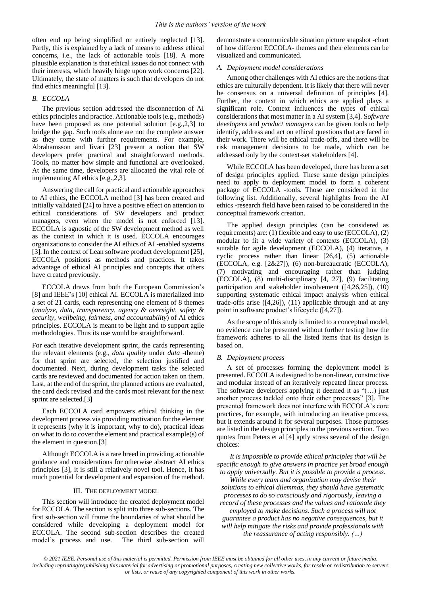often end up being simplified or entirely neglected [13]. Partly, this is explained by a lack of means to address ethical concerns, i.e., the lack of actionable tools [18]. A more plausible explanation is that ethical issues do not connect with their interests, which heavily hinge upon work concerns [22]. Ultimately, the state of matters is such that developers do not find ethics meaningful [13].

#### *B. ECCOLA*

The previous section addressed the disconnection of AI ethics principles and practice. Actionable tools (e.g., methods) have been proposed as one potential solution [e.g.,2,3] to bridge the gap. Such tools alone are not the complete answer as they come with further requirements. For example, Abrahamsson and Iivari [23] present a notion that SW developers prefer practical and straightforward methods. Tools, no matter how simple and functional are overlooked. At the same time, developers are allocated the vital role of implementing AI ethics [e.g.,2,3].

Answering the call for practical and actionable approaches to AI ethics, the ECCOLA method [3] has been created and initially validated [24] to have a positive effect on attention to ethical considerations of SW developers and product managers, even when the model is not enforced [13]. ECCOLA is agnostic of the SW development method as well as the context in which it is used. ECCOLA encourages organizations to consider the AI ethics of AI -enabled systems [3]. In the context of Lean software product development [25], ECCOLA positions as methods and practices. It takes advantage of ethical AI principles and concepts that others have created previously.

ECCOLA draws from both the European Commission's [8] and IEEE's [10] ethical AI. ECCOLA is materialized into a set of 21 cards, each representing one element of 8 themes (*analyze, data, transparency, agency & oversight, safety & security, wellbeing, fairness, and accountability*) of AI ethics principles. ECCOLA is meant to be light and to support agile methodologies. Thus its use would be straightforward.

For each iterative development sprint, the cards representing the relevant elements (e.g., *data quality* under *data* -theme) for that sprint are selected, the selection justified and documented. Next, during development tasks the selected cards are reviewed and documented for action taken on them. Last, at the end of the sprint, the planned actions are evaluated, the card deck revised and the cards most relevant for the next sprint are selected.[3]

Each ECCOLA card empowers ethical thinking in the development process via providing motivation for the element it represents (why it is important, why to do), practical ideas on what to do to cover the element and practical example(s) of the element in question.[3]

Although ECCOLA is a rare breed in providing actionable guidance and considerations for otherwise abstract AI ethics principles [3], it is still a relatively novel tool. Hence, it has much potential for development and expansion of the method.

#### III. THE DEPLOYMENT MODEL

This section will introduce the created deployment model for ECCOLA. The section is split into three sub-sections. The first sub-section will frame the boundaries of what should be considered while developing a deployment model for ECCOLA. The second sub-section describes the created model's process and use. The third sub-section will

demonstrate a communicable situation picture snapshot -chart of how different ECCOLA- themes and their elements can be visualized and communicated.

#### *A. Deployment model considerations*

Among other challenges with AI ethics are the notions that ethics are culturally dependent. It is likely that there will never be consensus on a universal definition of principles [4]. Further, the context in which ethics are applied plays a significant role. Context influences the types of ethical considerations that most matter in a AI system [3,4]. S*oftware developers* and *product managers* can be given tools to help identify, address and act on ethical questions that are faced in their work. There will be ethical trade-offs, and there will be risk management decisions to be made, which can be addressed only by the context-set stakeholders [4].

While ECCOLA has been developed, there has been a set of design principles applied. These same design principles need to apply to deployment model to form a coherent package of ECCOLA -tools. Those are considered in the following list. Additionally, several highlights from the AI ethics -research field have been raised to be considered in the conceptual framework creation.

The applied design principles (can be considered as requirements) are: (1) flexible and easy to use (ECCOLA), (2) modular to fit a wide variety of contexts (ECCOLA), (3) suitable for agile development (ECCOLA), (4) iterative, a cyclic process rather than linear [26,4], (5) actionable (ECCOLA, e.g. [2&27]), (6) non-bureaucratic (ECCOLA), (7) motivating and encouraging rather than judging (ECCOLA), (8) multi-disciplinary [4, 27], (9) facilitating participation and stakeholder involvement ([4,26,25]), (10) supporting systematic ethical impact analysis when ethical trade-offs arise ([4,26]), (11) applicable through and at any point in software product's lifecycle ([4,27]).

As the scope of this study is limited to a conceptual model, no evidence can be presented without further testing how the framework adheres to all the listed items that its design is based on.

#### *B. Deployment process*

A set of processes forming the deployment model is presented. ECCOLA is designed to be non-linear, constructive and modular instead of an iteratively repeated linear process. The software developers applying it deemed it as "(…) just another process tackled onto their other processes" [3]. The presented framework does not interfere with ECCOLA's core practices, for example, with introducing an iterative process, but it extends around it for several purposes. Those purposes are listed in the design principles in the previous section. Two quotes from Peters et al [4] aptly stress several of the design choices:

*It is impossible to provide ethical principles that will be specific enough to give answers in practice yet broad enough to apply universally. But it is possible to provide a process.* 

*While every team and organization may devise their solutions to ethical dilemmas, they should have systematic processes to do so consciously and rigorously, leaving a record of these processes and the values and rationale they employed to make decisions. Such a process will not guarantee a product has no negative consequences, but it will help mitigate the risks and provide professionals with the reassurance of acting responsibly. (…)*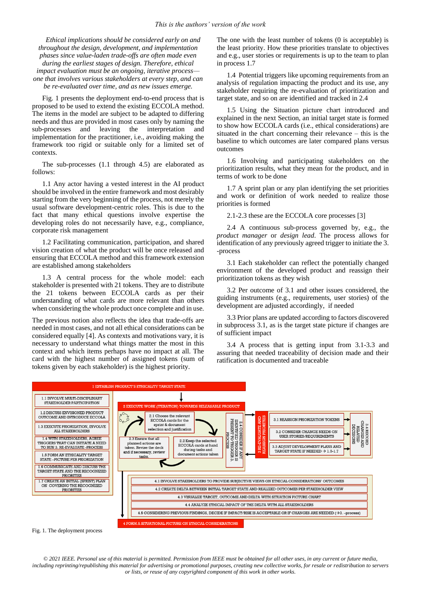*Ethical implications should be considered early on and throughout the design, development, and implementation phases since value-laden trade-offs are often made even during the earliest stages of design. Therefore, ethical impact evaluation must be an ongoing, iterative process one that involves various stakeholders at every step, and can be re-evaluated over time, and as new issues emerge.*

Fig. 1 presents the deployment end-to-end process that is proposed to be used to extend the existing ECCOLA method. The items in the model are subject to be adapted to differing needs and thus are provided in most cases only by naming the sub-processes and leaving the interpretation and implementation for the practitioner, i.e., avoiding making the framework too rigid or suitable only for a limited set of contexts.

The sub-processes (1.1 through 4.5) are elaborated as follows:

1.1 Any actor having a vested interest in the AI product should be involved in the entire framework and most desirably starting from the very beginning of the process, not merely the usual software development-centric roles. This is due to the fact that many ethical questions involve expertise the developing roles do not necessarily have, e.g., compliance, corporate risk management

1.2 Facilitating communication, participation, and shared vision creation of what the product will be once released and ensuring that ECCOLA method and this framework extension are established among stakeholders

1.3 A central process for the whole model: each stakeholder is presented with 21 tokens. They are to distribute the 21 tokens between ECCOLA cards as per their understanding of what cards are more relevant than others when considering the whole product once complete and in use.

The previous notion also reflects the idea that trade-offs are needed in most cases, and not all ethical considerations can be considered equally [4]. As contexts and motivations vary, it is necessary to understand what things matter the most in this context and which items perhaps have no impact at all. The card with the highest number of assigned tokens (sum of tokens given by each stakeholder) is the highest priority.

The one with the least number of tokens (0 is acceptable) is the least priority. How these priorities translate to objectives and e.g., user stories or requirements is up to the team to plan in process 1.7

1.4 Potential triggers like upcoming requirements from an analysis of regulation impacting the product and its use, any stakeholder requiring the re-evaluation of prioritization and target state, and so on are identified and tracked in 2.4

1.5 Using the Situation picture chart introduced and explained in the next Section, an initial target state is formed to show how ECCOLA cards (i.e., ethical considerations) are situated in the chart concerning their relevance – this is the baseline to which outcomes are later compared plans versus outcomes

1.6 Involving and participating stakeholders on the prioritization results, what they mean for the product, and in terms of work to be done

1.7 A sprint plan or any plan identifying the set priorities and work or definition of work needed to realize those priorities is formed

2.1-2.3 these are the ECCOLA core processes [3]

2.4 A continuous sub-process governed by, e.g., the *product manager* or *design lead*. The process allows for identification of any previously agreed trigger to initiate the 3. -process

3.1 Each stakeholder can reflect the potentially changed environment of the developed product and reassign their prioritization tokens as they wish

3.2 Per outcome of 3.1 and other issues considered, the guiding instruments (e.g., requirements, user stories) of the development are adjusted accordingly, if needed

3.3 Prior plans are updated according to factors discovered in subprocess 3.1, as is the target state picture if changes are of sufficient impact

3.4 A process that is getting input from 3.1-3.3 and assuring that needed traceability of decision made and their ratification is documented and traceable



Fig. 1. The deployment process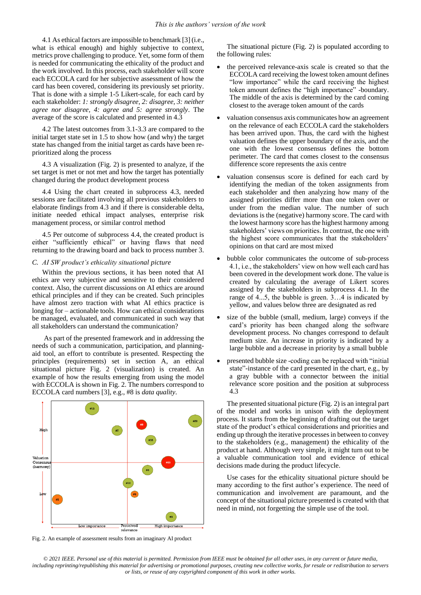4.1 As ethical factors are impossible to benchmark [3] (i.e., what is ethical enough) and highly subjective to context, metrics prove challenging to produce. Yet, some form of them is needed for communicating the ethicality of the product and the work involved. In this process, each stakeholder will score each ECCOLA card for her subjective assessment of how the card has been covered, considering its previously set priority. That is done with a simple 1-5 Likert-scale, for each card by each stakeholder: *1: strongly disagree, 2: disagree, 3: neither agree nor disagree, 4: agree and 5: agree strongly*. The average of the score is calculated and presented in 4.3

4.2 The latest outcomes from 3.1-3.3 are compared to the initial target state set in 1.5 to show how (and why) the target state has changed from the initial target as cards have been reprioritized along the process

4.3 A visualization (Fig. 2) is presented to analyze, if the set target is met or not met and how the target has potentially changed during the product development process

4.4 Using the chart created in subprocess 4.3, needed sessions are facilitated involving all previous stakeholders to elaborate findings from 4.3 and if there is considerable delta, initiate needed ethical impact analyses, enterprise risk management process, or similar control method

4.5 Per outcome of subprocess 4.4, the created product is either "sufficiently ethical" or having flaws that need returning to the drawing board and back to process number 3.

#### *C. AI SW product's ethicality situational picture*

Within the previous sections, it has been noted that AI ethics are very subjective and sensitive to their considered context. Also, the current discussions on AI ethics are around ethical principles and if they can be created. Such principles have almost zero traction with what AI ethics practice is longing for – actionable tools. How can ethical considerations be managed, evaluated, and communicated in such way that all stakeholders can understand the communication?

As part of the presented framework and in addressing the needs of such a communication, participation, and planningaid tool, an effort to contribute is presented. Respecting the principles (requirements) set in section A, an ethical situational picture Fig. 2 (visualization) is created. An example of how the results emerging from using the model with ECCOLA is shown in Fig. 2. The numbers correspond to ECCOLA card numbers [3], e.g., #8 is *data quality*.



The situational picture (Fig. 2) is populated according to the following rules:

- the perceived relevance-axis scale is created so that the ECCOLA card receiving the lowest token amount defines "low importance" while the card receiving the highest token amount defines the "high importance" -boundary. The middle of the axis is determined by the card coming closest to the average token amount of the cards
- valuation consensus axis communicates how an agreement on the relevance of each ECCOLA card the stakeholders has been arrived upon. Thus, the card with the highest valuation defines the upper boundary of the axis, and the one with the lowest consensus defines the bottom perimeter. The card that comes closest to the consensus difference score represents the axis centre
- valuation consensus score is defined for each card by identifying the median of the token assignments from each stakeholder and then analyzing how many of the assigned priorities differ more than one token over or under from the median value. The number of such deviations is the (negative) harmony score. The card with the lowest harmony score has the highest harmony among stakeholders' views on priorities. In contrast, the one with the highest score communicates that the stakeholders' opinions on that card are most mixed
- bubble color communicates the outcome of sub-process 4.1, i.e., the stakeholders' view on how well each card has been covered in the development work done. The value is created by calculating the average of Likert scores assigned by the stakeholders in subprocess 4.1. In the range of 4...5, the bubble is green. 3…4 is indicated by yellow, and values below three are designated as red
- size of the bubble (small, medium, large) conveys if the card's priority has been changed along the software development process. No changes correspond to default medium size. An increase in priority is indicated by a large bubble and a decrease in priority by a small bubble
- presented bubble size -coding can be replaced with "initial state"-instance of the card presented in the chart, e.g., by a gray bubble with a connector between the initial relevance score position and the position at subprocess 4.3

The presented situational picture (Fig. 2) is an integral part of the model and works in unison with the deployment process. It starts from the beginning of drafting out the target state of the product's ethical considerations and priorities and ending up through the iterative processes in between to convey to the stakeholders (e.g., management) the ethicality of the product at hand. Although very simple, it might turn out to be a valuable communication tool and evidence of ethical decisions made during the product lifecycle.

Use cases for the ethicality situational picture should be many according to the first author's experience. The need of communication and involvement are paramount, and the concept of the situational picture presented is created with that need in mind, not forgetting the simple use of the tool.

Fig. 2. An example of assessment results from an imaginary AI product